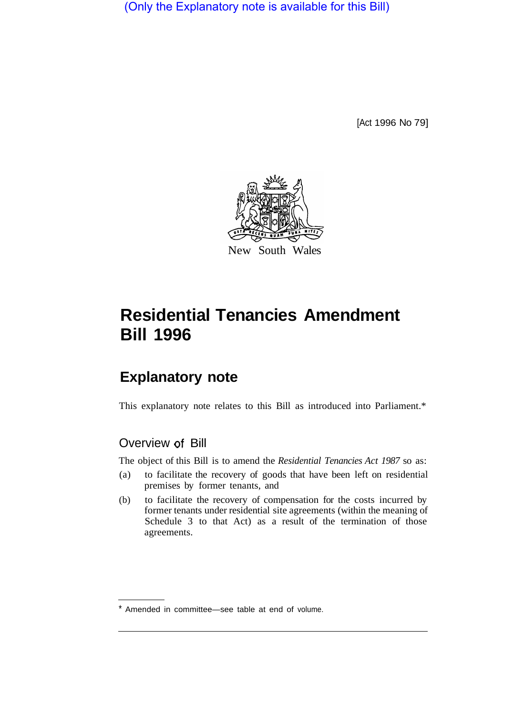(Only the Explanatory note is available for this Bill)

[Act 1996 No 79]



# **Residential Tenancies Amendment Bill 1996**

## **Explanatory note**

This explanatory note relates to this Bill as introduced into Parliament.\*

## Overview of Bill

The object of this Bill is to amend the *Residential Tenancies Act 1987* so as:

- (a) to facilitate the recovery of goods that have been left on residential premises by former tenants, and
- (b) to facilitate the recovery of compensation for the costs incurred by former tenants under residential site agreements (within the meaning of Schedule 3 to that Act) as a result of the termination of those agreements.

<sup>\*</sup> Amended in committee—see table at end of volume.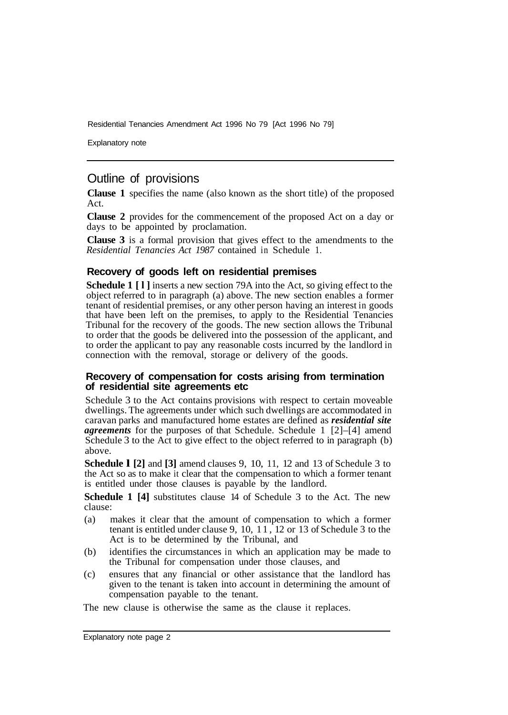Residential Tenancies Amendment Act 1996 No 79 [Act 1996 No 79]

Explanatory note

## Outline of provisions

**Clause 1** specifies the name (also known as the short title) of the proposed Act.

**Clause 2** provides for the commencement of the proposed Act on a day or days to be appointed by proclamation.

**Clause 3** is a formal provision that gives effect to the amendments to the *Residential Tenancies Act 1987* contained in Schedule 1.

#### **Recovery of goods left on residential premises**

**Schedule 1 [l]** inserts a new section 79A into the Act, so giving effect to the object referred to in paragraph (a) above. The new section enables a former tenant of residential premises, or any other person having an interest in goods that have been left on the premises, to apply to the Residential Tenancies Tribunal for the recovery of the goods. The new section allows the Tribunal to order that the goods be delivered into the possession of the applicant, and to order the applicant to pay any reasonable costs incurred by the landlord in connection with the removal, storage or delivery of the goods.

#### **Recovery of compensation for costs arising from termination of residential site agreements etc**

Schedule 3 to the Act contains provisions with respect to certain moveable dwellings. The agreements under which such dwellings are accommodated in caravan parks and manufactured home estates are defined as *residential site agreements* for the purposes of that Schedule. Schedule 1 [2]–[4] amend Schedule 3 to the Act to give effect to the object referred to in paragraph (b) above.

**Schedule l [2]** and **[3]** amend clauses 9, 10, 11, 12 and 13 of Schedule 3 to the Act so as to make it clear that the compensation to which a former tenant is entitled under those clauses is payable by the landlord.

**Schedule 1 [4]** substitutes clause 14 of Schedule 3 to the Act. The new clause:

- (a) makes it clear that the amount of compensation to which a former tenant is entitled under clause 9, 10, 1 1, 12 or 13 of Schedule 3 to the Act is to be determined by the Tribunal, and
- (b) identifies the circumstances in which an application may be made to the Tribunal for compensation under those clauses, and
- (c) ensures that any financial or other assistance that the landlord has given to the tenant is taken into account in determining the amount of compensation payable to the tenant.

The new clause is otherwise the same as the clause it replaces.

Explanatory note page 2